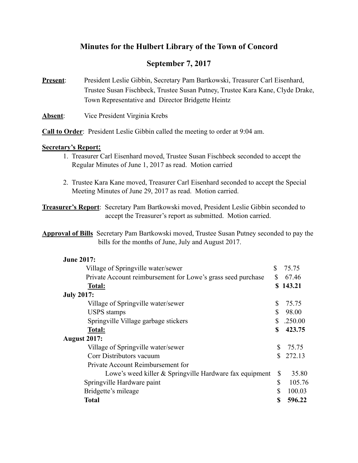# **Minutes for the Hulbert Library of the Town of Concord**

# **September 7, 2017**

**Present**: President Leslie Gibbin, Secretary Pam Bartkowski, Treasurer Carl Eisenhard, Trustee Susan Fischbeck, Trustee Susan Putney, Trustee Kara Kane, Clyde Drake, Town Representative and Director Bridgette Heintz

**Absent**: Vice President Virginia Krebs

**Call to Order**: President Leslie Gibbin called the meeting to order at 9:04 am.

## **Secretary's Report:**

- 1. Treasurer Carl Eisenhard moved, Trustee Susan Fischbeck seconded to accept the Regular Minutes of June 1, 2017 as read. Motion carried
- 2. Trustee Kara Kane moved, Treasurer Carl Eisenhard seconded to accept the Special Meeting Minutes of June 29, 2017 as read. Motion carried.

**Treasurer's Report**: Secretary Pam Bartkowski moved, President Leslie Gibbin seconded to accept the Treasurer's report as submitted. Motion carried.

**Approval of Bills** Secretary Pam Bartkowski moved, Trustee Susan Putney seconded to pay the bills for the months of June, July and August 2017.

| <b>June 2017:</b>                                            |              |          |
|--------------------------------------------------------------|--------------|----------|
| Village of Springville water/sewer                           | S            | 75.75    |
| Private Account reimbursement for Lowe's grass seed purchase | $\mathbb{S}$ | 67.46    |
| <b>Total:</b>                                                |              | \$143.21 |
| <b>July 2017:</b>                                            |              |          |
| Village of Springville water/sewer                           | \$           | 75.75    |
| <b>USPS</b> stamps                                           | \$           | 98.00    |
| Springville Village garbage stickers                         | \$           | .250.00  |
| <b>Total:</b>                                                | \$           | 423.75   |
| <b>August 2017:</b>                                          |              |          |
| Village of Springville water/sewer                           |              | 75.75    |
| Corr Distributors vacuum                                     |              | 272.13   |
| Private Account Reimbursement for                            |              |          |
| Lowe's weed killer & Springville Hardware fax equipment      | \$           | 35.80    |
| Springville Hardware paint                                   | $\mathbb{S}$ | 105.76   |
| Bridgette's mileage                                          | \$           | 100.03   |
| Total                                                        | S            | 596.22   |
|                                                              |              |          |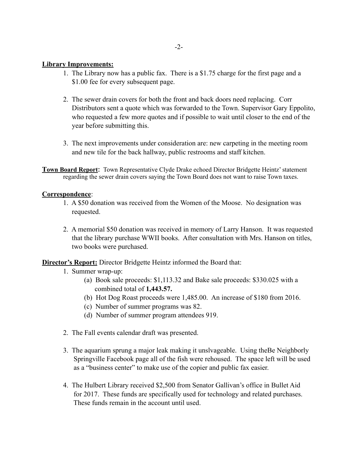# **Library Improvements:**

- 1. The Library now has a public fax. There is a \$1.75 charge for the first page and a \$1.00 fee for every subsequent page.
- 2. The sewer drain covers for both the front and back doors need replacing. Corr Distributors sent a quote which was forwarded to the Town. Supervisor Gary Eppolito, who requested a few more quotes and if possible to wait until closer to the end of the year before submitting this.
- 3. The next improvements under consideration are: new carpeting in the meeting room and new tile for the back hallway, public restrooms and staff kitchen.
- **Town Board Report**: Town Representative Clyde Drake echoed Director Bridgette Heintz' statement regarding the sewer drain covers saying the Town Board does not want to raise Town taxes.

## **Correspondence**:

- 1. A \$50 donation was received from the Women of the Moose. No designation was requested.
- 2. A memorial \$50 donation was received in memory of Larry Hanson. It was requested that the library purchase WWII books. After consultation with Mrs. Hanson on titles, two books were purchased.

**Director's Report:** Director Bridgette Heintz informed the Board that:

- 1. Summer wrap-up:
	- (a) Book sale proceeds: \$1,113.32 and Bake sale proceeds: \$330.025 with a combined total of **1,443.57.**
	- (b) Hot Dog Roast proceeds were 1,485.00. An increase of \$180 from 2016.
	- (c) Number of summer programs was 82.
	- (d) Number of summer program attendees 919.
- 2. The Fall events calendar draft was presented.
- 3. The aquarium sprung a major leak making it unslvageable. Using theBe Neighborly Springville Facebook page all of the fish were rehoused. The space left will be used as a "business center" to make use of the copier and public fax easier.
- 4. The Hulbert Library received \$2,500 from Senator Gallivan's office in Bullet Aid for 2017. These funds are specifically used for technology and related purchases. These funds remain in the account until used.